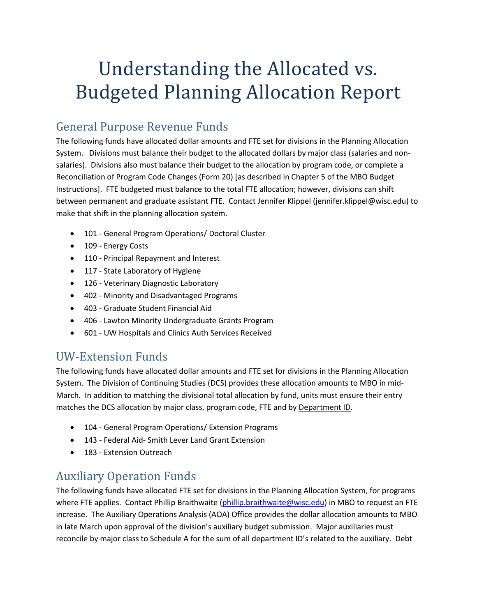# Understanding the Allocated vs. Budgeted Planning Allocation Report

#### General Purpose Revenue Funds

The following funds have allocated dollar amounts and FTE set for divisions in the Planning Allocation System. Divisions must balance their budget to the allocated dollars by major class (salaries and nonsalaries). Divisions also must balance their budget to the allocation by program code, or complete a Reconciliation of Program Code Changes (Form 20) [as described in Chapter 5 of the MBO Budget Instructions]. FTE budgeted must balance to the total FTE allocation; however, divisions can shift between permanent and graduate assistant FTE. Contact Jennifer Klippel (jennifer.klippel@wisc.edu) to make that shift in the planning allocation system.

- 101 General Program Operations/ Doctoral Cluster
- 109 Energy Costs
- 110 Principal Repayment and Interest
- 117 State Laboratory of Hygiene
- 126 Veterinary Diagnostic Laboratory
- 402 Minority and Disadvantaged Programs
- 403 Graduate Student Financial Aid
- 406 Lawton Minority Undergraduate Grants Program
- 601 UW Hospitals and Clinics Auth Services Received

### UW-Extension Funds

The following funds have allocated dollar amounts and FTE set for divisions in the Planning Allocation System. The Division of Continuing Studies (DCS) provides these allocation amounts to MBO in mid-March. In addition to matching the divisional total allocation by fund, units must ensure their entry matches the DCS allocation by major class, program code, FTE and by Department ID.

- 104 General Program Operations/ Extension Programs
- 143 Federal Aid- Smith Lever Land Grant Extension
- 183 Extension Outreach

## Auxiliary Operation Funds

The following funds have allocated FTE set for divisions in the Planning Allocation System, for programs where FTE applies. Contact Phillip Braithwaite [\(phillip.braithwaite@wisc.edu\)](mailto:phillip.braithwaite@wisc.edu) in MBO to request an FTE increase. The Auxiliary Operations Analysis (AOA) Office provides the dollar allocation amounts to MBO in late March upon approval of the division's auxiliary budget submission. Major auxiliaries must reconcile by major class to Schedule A for the sum of all department ID's related to the auxiliary. Debt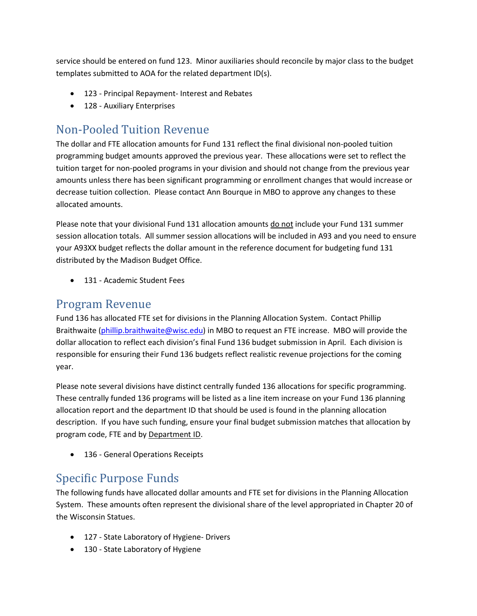service should be entered on fund 123. Minor auxiliaries should reconcile by major class to the budget templates submitted to AOA for the related department ID(s).

- 123 Principal Repayment- Interest and Rebates
- 128 Auxiliary Enterprises

## Non-Pooled Tuition Revenue

The dollar and FTE allocation amounts for Fund 131 reflect the final divisional non-pooled tuition programming budget amounts approved the previous year. These allocations were set to reflect the tuition target for non-pooled programs in your division and should not change from the previous year amounts unless there has been significant programming or enrollment changes that would increase or decrease tuition collection. Please contact Ann Bourque in MBO to approve any changes to these allocated amounts.

Please note that your divisional Fund 131 allocation amounts do not include your Fund 131 summer session allocation totals. All summer session allocations will be included in A93 and you need to ensure your A93XX budget reflects the dollar amount in the reference document for budgeting fund 131 distributed by the Madison Budget Office.

• 131 - Academic Student Fees

#### Program Revenue

Fund 136 has allocated FTE set for divisions in the Planning Allocation System. Contact Phillip Braithwaite [\(phillip.braithwaite@wisc.edu\)](mailto:phillip.braithwaite@wisc.edu) in MBO to request an FTE increase. MBO will provide the dollar allocation to reflect each division's final Fund 136 budget submission in April. Each division is responsible for ensuring their Fund 136 budgets reflect realistic revenue projections for the coming year.

Please note several divisions have distinct centrally funded 136 allocations for specific programming. These centrally funded 136 programs will be listed as a line item increase on your Fund 136 planning allocation report and the department ID that should be used is found in the planning allocation description. If you have such funding, ensure your final budget submission matches that allocation by program code, FTE and by Department ID.

• 136 - General Operations Receipts

#### Specific Purpose Funds

The following funds have allocated dollar amounts and FTE set for divisions in the Planning Allocation System. These amounts often represent the divisional share of the level appropriated in Chapter 20 of the Wisconsin Statues.

- 127 State Laboratory of Hygiene- Drivers
- 130 State Laboratory of Hygiene